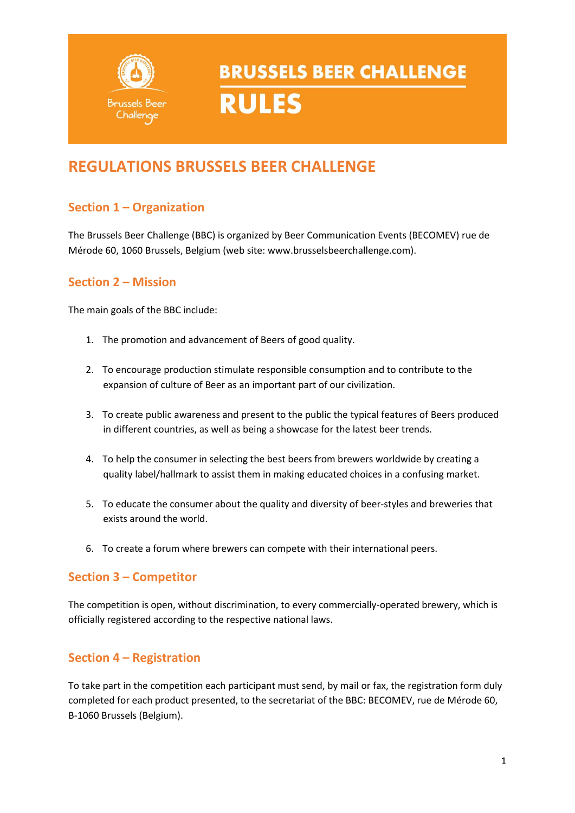

### **REGULATIONS BRUSSELS BEER CHALLENGE**

### **Section 1 – Organization**

The Brussels Beer Challenge (BBC) is organized by Beer Communication Events (BECOMEV) rue de Mérode 60, 1060 Brussels, Belgium (web site: www.brusselsbeerchallenge.com).

### **Section 2 – Mission**

The main goals of the BBC include:

- 1. The promotion and advancement of Beers of good quality.
- 2. To encourage production stimulate responsible consumption and to contribute to the expansion of culture of Beer as an important part of our civilization.
- 3. To create public awareness and present to the public the typical features of Beers produced in different countries, as well as being a showcase for the latest beer trends.
- 4. To help the consumer in selecting the best beers from brewers worldwide by creating a quality label/hallmark to assist them in making educated choices in a confusing market.
- 5. To educate the consumer about the quality and diversity of beer-styles and breweries that exists around the world.
- 6. To create a forum where brewers can compete with their international peers.

### **Section 3 – Competitor**

The competition is open, without discrimination, to every commercially-operated brewery, which is officially registered according to the respective national laws.

### **Section 4 – Registration**

To take part in the competition each participant must send, by mail or fax, the registration form duly completed for each product presented, to the secretariat of the BBC: BECOMEV, rue de Mérode 60, B-1060 Brussels (Belgium).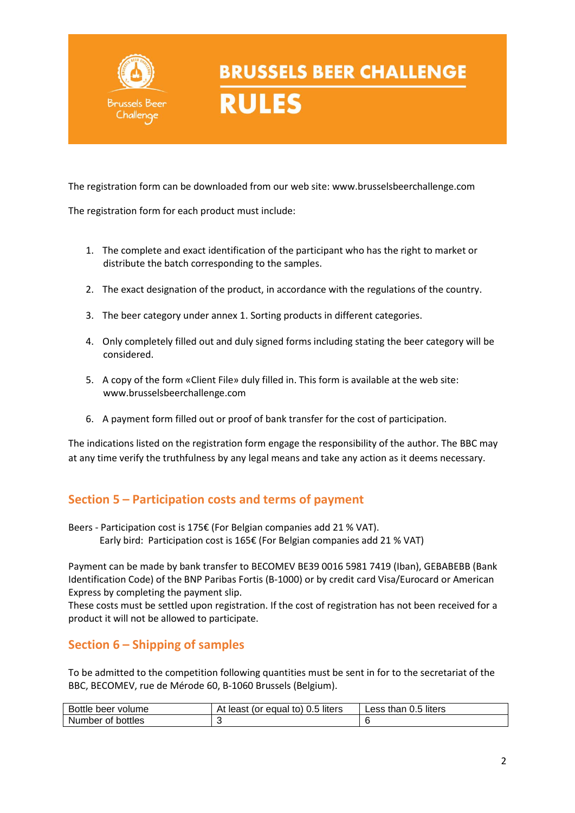

The registration form can be downloaded from our web site: www.brusselsbeerchallenge.com

The registration form for each product must include:

- 1. The complete and exact identification of the participant who has the right to market or distribute the batch corresponding to the samples.
- 2. The exact designation of the product, in accordance with the regulations of the country.
- 3. The beer category under annex 1. Sorting products in different categories.
- 4. Only completely filled out and duly signed forms including stating the beer category will be considered.
- 5. A copy of the form «Client File» duly filled in. This form is available at the web site: www.brusselsbeerchallenge.com
- 6. A payment form filled out or proof of bank transfer for the cost of participation.

The indications listed on the registration form engage the responsibility of the author. The BBC may at any time verify the truthfulness by any legal means and take any action as it deems necessary.

### **Section 5 – Participation costs and terms of payment**

Beers - Participation cost is 175€ (For Belgian companies add 21 % VAT). Early bird: Participation cost is 165€ (For Belgian companies add 21 % VAT)

Payment can be made by bank transfer to BECOMEV BE39 0016 5981 7419 (Iban), GEBABEBB (Bank Identification Code) of the BNP Paribas Fortis (B-1000) or by credit card Visa/Eurocard or American Express by completing the payment slip.

These costs must be settled upon registration. If the cost of registration has not been received for a product it will not be allowed to participate.

### **Section 6 – Shipping of samples**

To be admitted to the competition following quantities must be sent in for to the secretariat of the BBC, BECOMEV, rue de Mérode 60, B-1060 Brussels (Belgium).

| Bottle<br>volume<br>beer | 0.5 liters<br>Δt<br>(or equal to)<br>least<br>∼ | liters<br>than 0.5 <i>.</i><br>Less |
|--------------------------|-------------------------------------------------|-------------------------------------|
| Number of<br>bottles     |                                                 |                                     |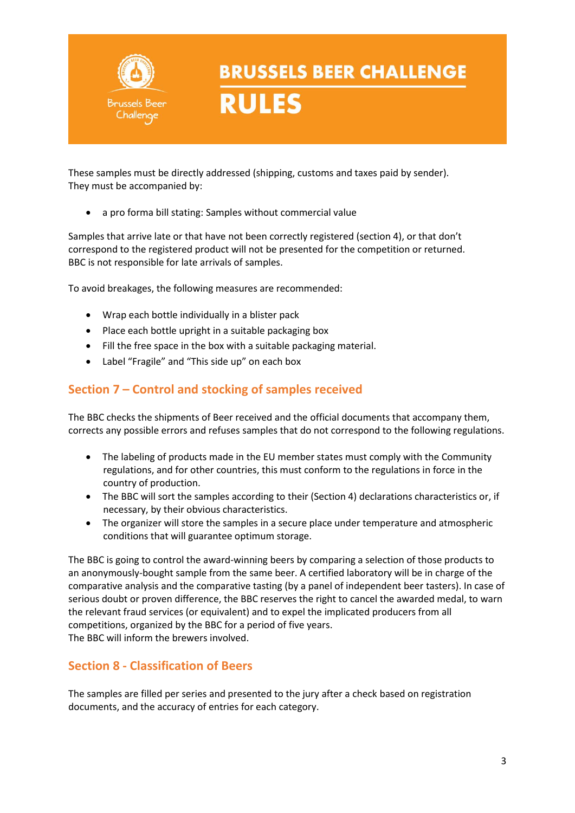

**RULES** 

These samples must be directly addressed (shipping, customs and taxes paid by sender). They must be accompanied by:

• a pro forma bill stating: Samples without commercial value

Samples that arrive late or that have not been correctly registered (section 4), or that don't correspond to the registered product will not be presented for the competition or returned. BBC is not responsible for late arrivals of samples.

To avoid breakages, the following measures are recommended:

- Wrap each bottle individually in a blister pack
- Place each bottle upright in a suitable packaging box
- Fill the free space in the box with a suitable packaging material.
- Label "Fragile" and "This side up" on each box

### **Section 7 – Control and stocking of samples received**

The BBC checks the shipments of Beer received and the official documents that accompany them, corrects any possible errors and refuses samples that do not correspond to the following regulations.

- The labeling of products made in the EU member states must comply with the Community regulations, and for other countries, this must conform to the regulations in force in the country of production.
- The BBC will sort the samples according to their (Section 4) declarations characteristics or, if necessary, by their obvious characteristics.
- The organizer will store the samples in a secure place under temperature and atmospheric conditions that will guarantee optimum storage.

The BBC is going to control the award-winning beers by comparing a selection of those products to an anonymously-bought sample from the same beer. A certified laboratory will be in charge of the comparative analysis and the comparative tasting (by a panel of independent beer tasters). In case of serious doubt or proven difference, the BBC reserves the right to cancel the awarded medal, to warn the relevant fraud services (or equivalent) and to expel the implicated producers from all competitions, organized by the BBC for a period of five years. The BBC will inform the brewers involved.

### **Section 8 - Classification of Beers**

The samples are filled per series and presented to the jury after a check based on registration documents, and the accuracy of entries for each category.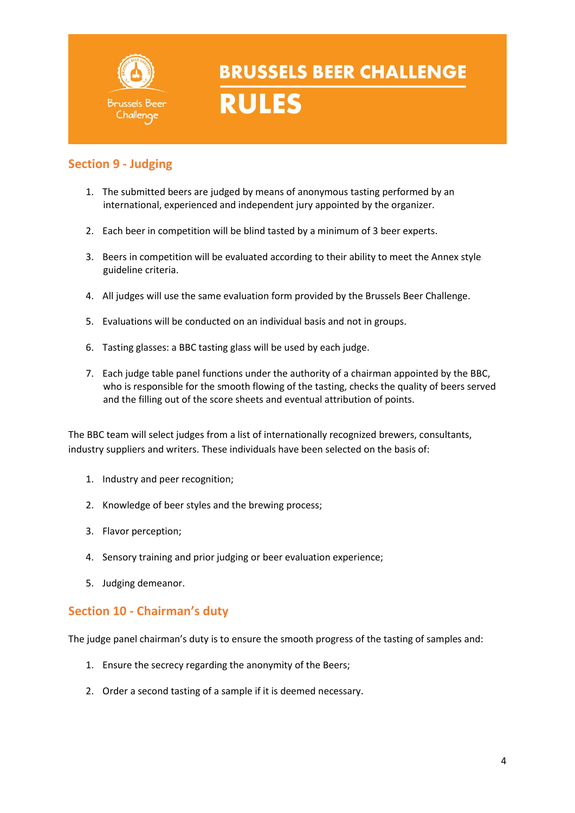

### **Section 9 - Judging**

- 1. The submitted beers are judged by means of anonymous tasting performed by an international, experienced and independent jury appointed by the organizer.
- 2. Each beer in competition will be blind tasted by a minimum of 3 beer experts.
- 3. Beers in competition will be evaluated according to their ability to meet the Annex style guideline criteria.
- 4. All judges will use the same evaluation form provided by the Brussels Beer Challenge.
- 5. Evaluations will be conducted on an individual basis and not in groups.
- 6. Tasting glasses: a BBC tasting glass will be used by each judge.
- 7. Each judge table panel functions under the authority of a chairman appointed by the BBC, who is responsible for the smooth flowing of the tasting, checks the quality of beers served and the filling out of the score sheets and eventual attribution of points.

The BBC team will select judges from a list of internationally recognized brewers, consultants, industry suppliers and writers. These individuals have been selected on the basis of:

- 1. Industry and peer recognition;
- 2. Knowledge of beer styles and the brewing process;
- 3. Flavor perception;
- 4. Sensory training and prior judging or beer evaluation experience;
- 5. Judging demeanor.

### **Section 10 - Chairman's duty**

The judge panel chairman's duty is to ensure the smooth progress of the tasting of samples and:

- 1. Ensure the secrecy regarding the anonymity of the Beers;
- 2. Order a second tasting of a sample if it is deemed necessary.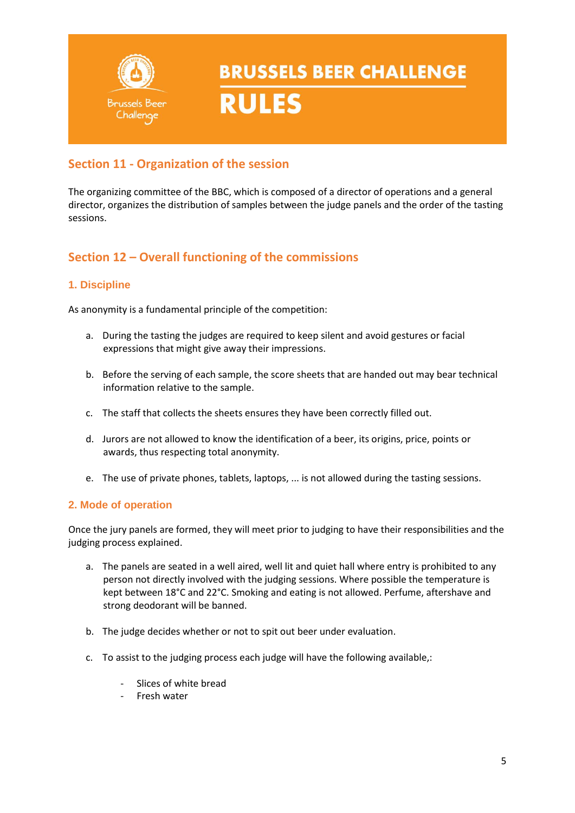

**RULES** 

### **Section 11 - Organization of the session**

The organizing committee of the BBC, which is composed of a director of operations and a general director, organizes the distribution of samples between the judge panels and the order of the tasting sessions.

### **Section 12 – Overall functioning of the commissions**

### **1. Discipline**

As anonymity is a fundamental principle of the competition:

- a. During the tasting the judges are required to keep silent and avoid gestures or facial expressions that might give away their impressions.
- b. Before the serving of each sample, the score sheets that are handed out may bear technical information relative to the sample.
- c. The staff that collects the sheets ensures they have been correctly filled out.
- d. Jurors are not allowed to know the identification of a beer, its origins, price, points or awards, thus respecting total anonymity.
- e. The use of private phones, tablets, laptops, ... is not allowed during the tasting sessions.

### **2. Mode of operation**

Once the jury panels are formed, they will meet prior to judging to have their responsibilities and the judging process explained.

- a. The panels are seated in a well aired, well lit and quiet hall where entry is prohibited to any person not directly involved with the judging sessions. Where possible the temperature is kept between 18°C and 22°C. Smoking and eating is not allowed. Perfume, aftershave and strong deodorant will be banned.
- b. The judge decides whether or not to spit out beer under evaluation.
- c. To assist to the judging process each judge will have the following available,:
	- Slices of white bread
	- Fresh water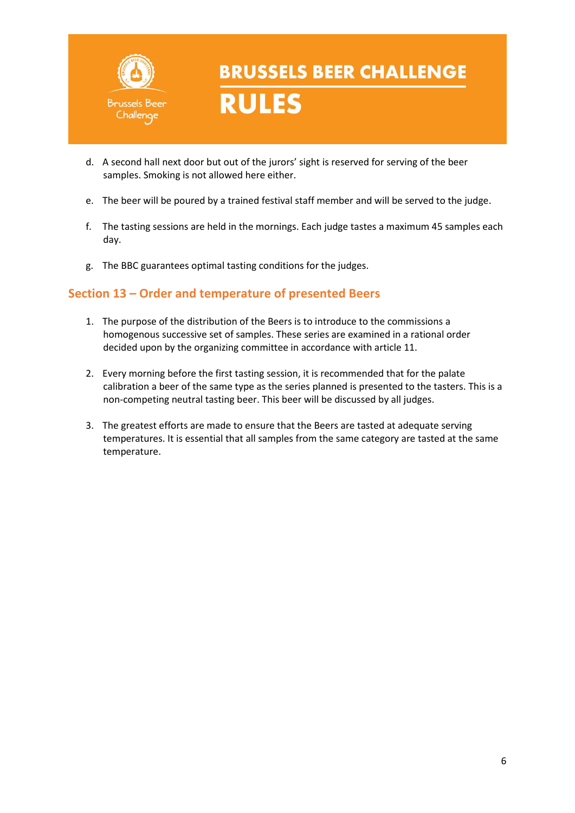

**RULES** 

- d. A second hall next door but out of the jurors' sight is reserved for serving of the beer samples. Smoking is not allowed here either.
- e. The beer will be poured by a trained festival staff member and will be served to the judge.
- f. The tasting sessions are held in the mornings. Each judge tastes a maximum 45 samples each day.
- g. The BBC guarantees optimal tasting conditions for the judges.

### **Section 13 – Order and temperature of presented Beers**

- 1. The purpose of the distribution of the Beers is to introduce to the commissions a homogenous successive set of samples. These series are examined in a rational order decided upon by the organizing committee in accordance with article 11.
- 2. Every morning before the first tasting session, it is recommended that for the palate calibration a beer of the same type as the series planned is presented to the tasters. This is a non-competing neutral tasting beer. This beer will be discussed by all judges.
- 3. The greatest efforts are made to ensure that the Beers are tasted at adequate serving temperatures. It is essential that all samples from the same category are tasted at the same temperature.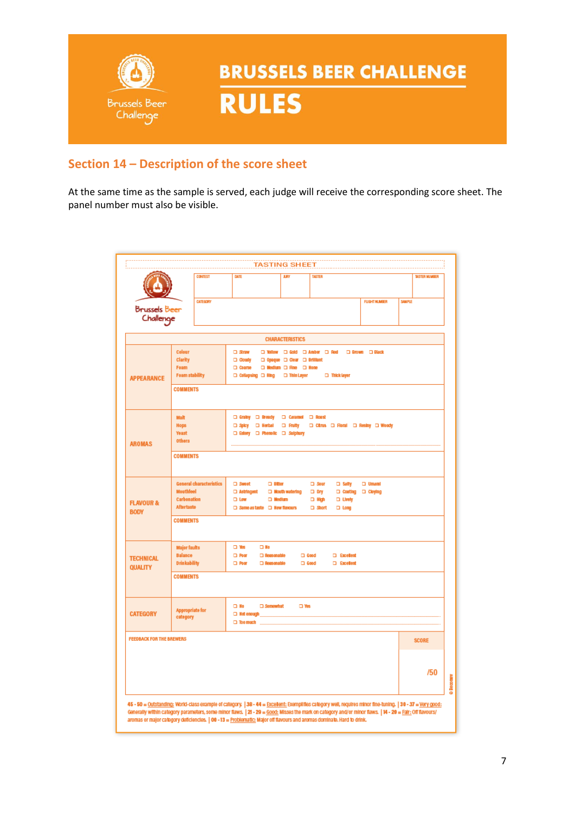

### **Section 14 – Description of the score sheet**

At the same time as the sample is served, each judge will receive the corresponding score sheet. The panel number must also be visible.

|                                                                                                                        |                                                                              | <b>CONTEST</b>                                    | <b>DATE</b>                                                                                                            |                                                                                                                                                                                                                                              | <b>JURY</b>                                                   | TASTER                                                              |                                                                         |                                    | <b>TASTING SHEET</b><br><b><i>USTER MINGER</i></b>                                                                                                                                                                                                                                                                        |
|------------------------------------------------------------------------------------------------------------------------|------------------------------------------------------------------------------|---------------------------------------------------|------------------------------------------------------------------------------------------------------------------------|----------------------------------------------------------------------------------------------------------------------------------------------------------------------------------------------------------------------------------------------|---------------------------------------------------------------|---------------------------------------------------------------------|-------------------------------------------------------------------------|------------------------------------|---------------------------------------------------------------------------------------------------------------------------------------------------------------------------------------------------------------------------------------------------------------------------------------------------------------------------|
|                                                                                                                        |                                                                              |                                                   |                                                                                                                        |                                                                                                                                                                                                                                              |                                                               |                                                                     |                                                                         |                                    |                                                                                                                                                                                                                                                                                                                           |
| <b>CATEGORY</b><br><b>Brussels Beer</b><br>Challenge                                                                   |                                                                              |                                                   |                                                                                                                        |                                                                                                                                                                                                                                              |                                                               | <b>FUSHT MUMBER</b>                                                 | <b>SAN PLE</b>                                                          |                                    |                                                                                                                                                                                                                                                                                                                           |
|                                                                                                                        |                                                                              |                                                   |                                                                                                                        |                                                                                                                                                                                                                                              | <b>CHARACTERISTICS</b>                                        |                                                                     |                                                                         |                                    |                                                                                                                                                                                                                                                                                                                           |
| <b>APPEARANCE</b>                                                                                                      | Colour<br><b>Clarity</b><br>Foam<br><b>Foam stability</b><br><b>COMMENTS</b> |                                                   | <b>CI Straw</b><br>$\Box$ Cloudy<br><b>Coarse</b>                                                                      | □ Collapsing □ Ring □ Thin Layer                                                                                                                                                                                                             | □ Opaque □ Clear □ Brilliant<br>□ Medium □ Rne □ Hone         |                                                                     | □ Vellow □ Gold □ Amber □ Red · □ Brown □ Black<br><b>D</b> Thick layer |                                    |                                                                                                                                                                                                                                                                                                                           |
| <b>AROMAS</b>                                                                                                          | Malt<br><b>Hops</b><br><b>Yeast</b><br><b>Others</b>                         |                                                   |                                                                                                                        | □ Grainy □ Bready □ Caramel □ Roast<br>□ Spicy □ Herbal □ Fruity<br>a Estery a Phenolic a Sulphury                                                                                                                                           |                                                               |                                                                     |                                                                         | □ Citrus □ Floral □ Resiny □ Woody |                                                                                                                                                                                                                                                                                                                           |
| <b>COMMENTS</b>                                                                                                        |                                                                              |                                                   |                                                                                                                        |                                                                                                                                                                                                                                              |                                                               |                                                                     |                                                                         |                                    |                                                                                                                                                                                                                                                                                                                           |
| <b>General characteristics</b><br><b>Mouthfeel</b><br>Carbonation<br><b>FLAVOUR &amp;</b><br>Aftertaste<br><b>BODY</b> |                                                                              | □ Sweet<br>a Astringent<br>$\square$ Low          | $\square$ Bitter<br><b>D</b> Medium<br>□ Same as taste □ New flavours                                                  | <b>ED</b> Mouth watering                                                                                                                                                                                                                     | $\square$ Sour<br>$\Box$ Dry<br><b>D</b> High<br>$\Box$ Short | □ Salty<br>□ Costing □ Cloying<br><b>D</b> Lively<br>$\square$ Long | <b>D</b> Umaml                                                          |                                    |                                                                                                                                                                                                                                                                                                                           |
|                                                                                                                        | <b>COMMENTS</b>                                                              |                                                   |                                                                                                                        |                                                                                                                                                                                                                                              |                                                               |                                                                     |                                                                         |                                    |                                                                                                                                                                                                                                                                                                                           |
| <b>Major faults</b><br><b>Balance</b><br><b>TECHNICAL</b><br><b>Drinkability</b><br><b>QUALITY</b><br><b>COMMENTS</b>  |                                                                              | $\square$ Yes<br>$\square$ Poor<br>$\square$ Poor | $\square$ No<br><b>D</b> Reasonable<br><b>D</b> Reasonable                                                             |                                                                                                                                                                                                                                              | $\square$ Good<br>$\square$ Good                              | <b>D</b> Excellent<br><b>D</b> Excellent                            |                                                                         |                                    |                                                                                                                                                                                                                                                                                                                           |
|                                                                                                                        |                                                                              |                                                   |                                                                                                                        |                                                                                                                                                                                                                                              |                                                               |                                                                     |                                                                         |                                    |                                                                                                                                                                                                                                                                                                                           |
| <b>CATEGORY</b>                                                                                                        | <b>Appropriate for</b><br>category                                           |                                                   | $\square$ No<br>□ Too much                                                                                             | □ Somewhat<br>Archives and the Manuscript of the Manuscript of the Manuscript of the Manuscript of the Manuscript of the Manuscript of the Manuscript of the Manuscript of the Manuscript of the Manuscript of the Manuscript of the Manuscr |                                                               | $\square$ Wes                                                       |                                                                         |                                    |                                                                                                                                                                                                                                                                                                                           |
| <b>FEEDBACK FOR THE BREWERS</b>                                                                                        |                                                                              |                                                   |                                                                                                                        |                                                                                                                                                                                                                                              |                                                               |                                                                     |                                                                         |                                    | <b>SCORE</b>                                                                                                                                                                                                                                                                                                              |
|                                                                                                                        |                                                                              |                                                   |                                                                                                                        |                                                                                                                                                                                                                                              |                                                               |                                                                     |                                                                         |                                    | /50                                                                                                                                                                                                                                                                                                                       |
|                                                                                                                        |                                                                              |                                                   | aromas or major category deficiencies.   00 - 13 = Problematic: Major off flavours and aromas dominate. Hard to drink. |                                                                                                                                                                                                                                              |                                                               |                                                                     |                                                                         |                                    | 45 - 50 = Outstanding: World-class example of category.   38 - 44 = Excellent: Exemplifies category well, requires minor fine-tuning.   30 - 37 = Very good:<br>Generally within category parameters, some minor flaws.   21 - 29 = Good: Misses the mark on category and/or minor flaws.   14 - 20 = Fair: Off flavours/ |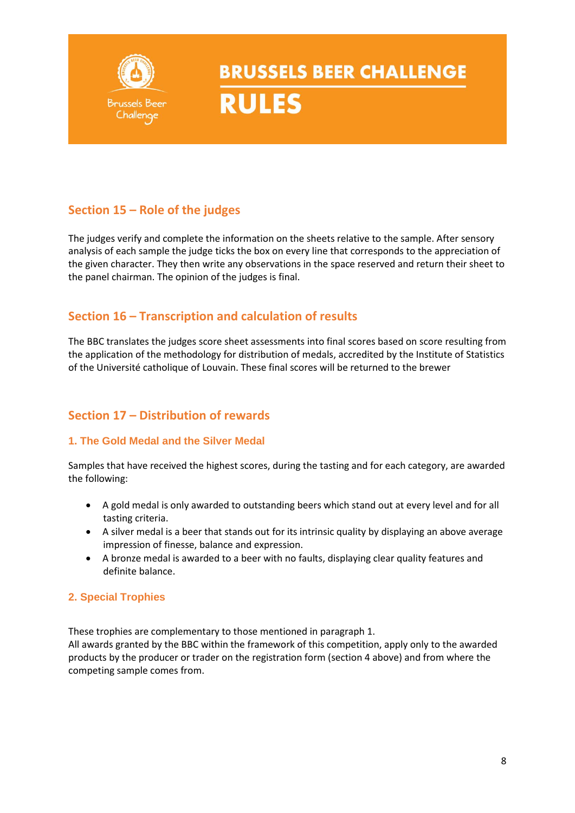

### **Section 15 – Role of the judges**

The judges verify and complete the information on the sheets relative to the sample. After sensory analysis of each sample the judge ticks the box on every line that corresponds to the appreciation of the given character. They then write any observations in the space reserved and return their sheet to the panel chairman. The opinion of the judges is final.

### **Section 16 – Transcription and calculation of results**

The BBC translates the judges score sheet assessments into final scores based on score resulting from the application of the methodology for distribution of medals, accredited by the Institute of Statistics of the Université catholique of Louvain. These final scores will be returned to the brewer

### **Section 17 – Distribution of rewards**

### **1. The Gold Medal and the Silver Medal**

Samples that have received the highest scores, during the tasting and for each category, are awarded the following:

- A gold medal is only awarded to outstanding beers which stand out at every level and for all tasting criteria.
- A silver medal is a beer that stands out for its intrinsic quality by displaying an above average impression of finesse, balance and expression.
- A bronze medal is awarded to a beer with no faults, displaying clear quality features and definite balance.

### **2. Special Trophies**

These trophies are complementary to those mentioned in paragraph 1.

All awards granted by the BBC within the framework of this competition, apply only to the awarded products by the producer or trader on the registration form (section 4 above) and from where the competing sample comes from.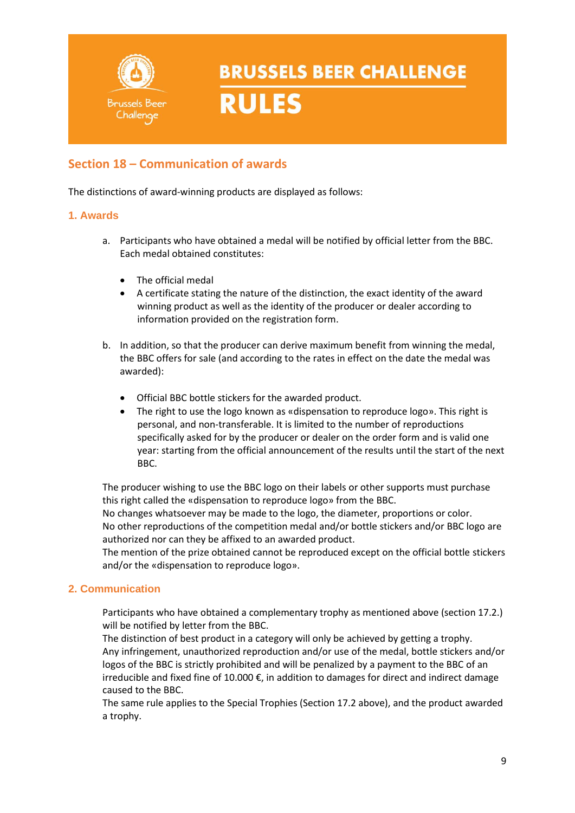

**RULES** 

### **Section 18 – Communication of awards**

The distinctions of award-winning products are displayed as follows:

#### **1. Awards**

- a. Participants who have obtained a medal will be notified by official letter from the BBC. Each medal obtained constitutes:
	- The official medal
	- A certificate stating the nature of the distinction, the exact identity of the award winning product as well as the identity of the producer or dealer according to information provided on the registration form.
- b. In addition, so that the producer can derive maximum benefit from winning the medal, the BBC offers for sale (and according to the rates in effect on the date the medal was awarded):
	- Official BBC bottle stickers for the awarded product.
	- The right to use the logo known as «dispensation to reproduce logo». This right is personal, and non-transferable. It is limited to the number of reproductions specifically asked for by the producer or dealer on the order form and is valid one year: starting from the official announcement of the results until the start of the next BBC.

The producer wishing to use the BBC logo on their labels or other supports must purchase this right called the «dispensation to reproduce logo» from the BBC.

No changes whatsoever may be made to the logo, the diameter, proportions or color. No other reproductions of the competition medal and/or bottle stickers and/or BBC logo are authorized nor can they be affixed to an awarded product.

The mention of the prize obtained cannot be reproduced except on the official bottle stickers and/or the «dispensation to reproduce logo».

### **2. Communication**

Participants who have obtained a complementary trophy as mentioned above (section 17.2.) will be notified by letter from the BBC.

The distinction of best product in a category will only be achieved by getting a trophy. Any infringement, unauthorized reproduction and/or use of the medal, bottle stickers and/or logos of the BBC is strictly prohibited and will be penalized by a payment to the BBC of an irreducible and fixed fine of 10.000  $\epsilon$ , in addition to damages for direct and indirect damage caused to the BBC.

The same rule applies to the Special Trophies (Section 17.2 above), and the product awarded a trophy.